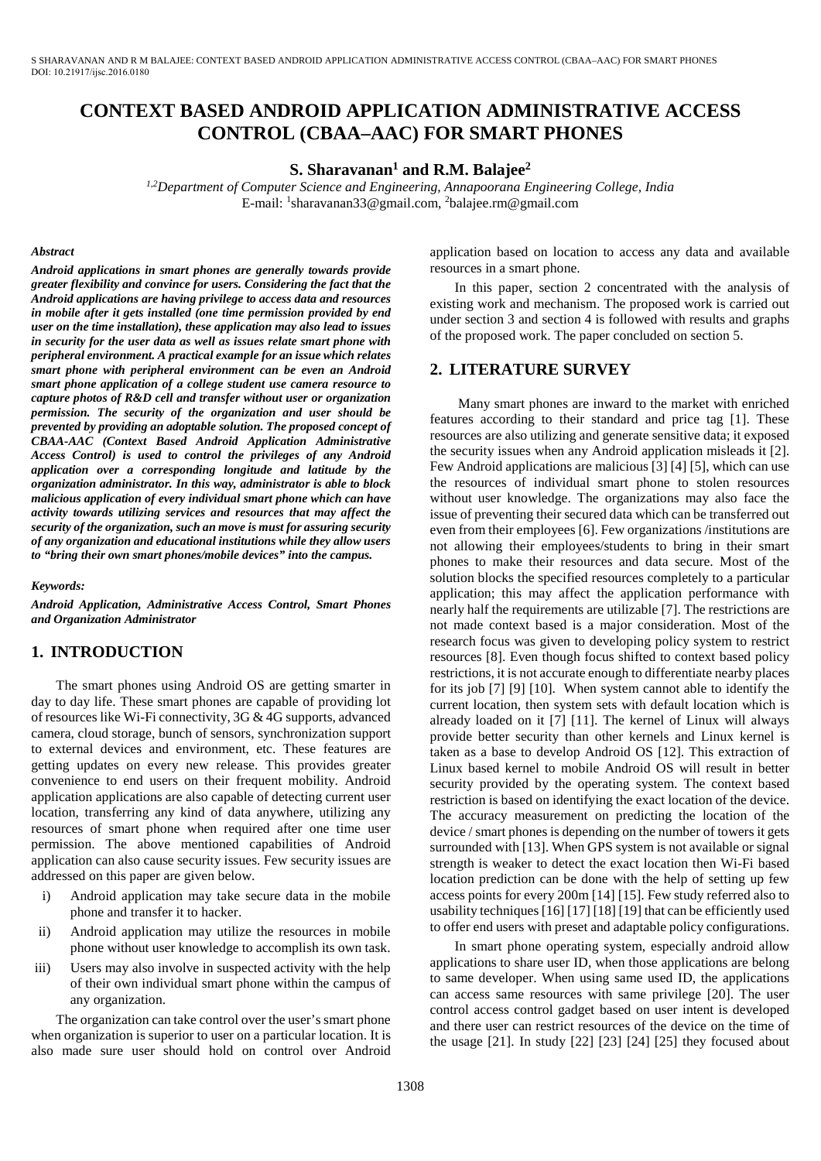S SHARAVANAN AND R M BALAJEE: CONTEXT BASED ANDROID APPLICATION ADMINISTRATIVE ACCESS CONTROL (CBAA–AAC) FOR SMART PHONES DOI: 10.21917/ijsc.2016.0180

# **CONTEXT BASED ANDROID APPLICATION ADMINISTRATIVE ACCESS CONTROL (CBAA–AAC) FOR SMART PHONES**

**S. Sharavanan1 and R.M. Balajee2**

*1,2Department of Computer Science and Engineering, Annapoorana Engineering College, India* E-mail: <sup>1</sup>sharavanan33@gmail.com, <sup>2</sup>balajee.rm@gmail.com

#### *Abstract*

*Android applications in smart phones are generally towards provide greater flexibility and convince for users. Considering the fact that the Android applications are having privilege to access data and resources in mobile after it gets installed (one time permission provided by end user on the time installation), these application may also lead to issues in security for the user data as well as issues relate smart phone with peripheral environment. A practical example for an issue which relates smart phone with peripheral environment can be even an Android smart phone application of a college student use camera resource to capture photos of R&D cell and transfer without user or organization permission. The security of the organization and user should be prevented by providing an adoptable solution. The proposed concept of CBAA-AAC (Context Based Android Application Administrative Access Control) is used to control the privileges of any Android application over a corresponding longitude and latitude by the organization administrator. In this way, administrator is able to block malicious application of every individual smart phone which can have activity towards utilizing services and resources that may affect the security of the organization, such an move is must for assuring security of any organization and educational institutions while they allow users to "bring their own smart phones/mobile devices" into the campus.* 

#### *Keywords:*

*Android Application, Administrative Access Control, Smart Phones and Organization Administrator*

# **1. INTRODUCTION**

The smart phones using Android OS are getting smarter in day to day life. These smart phones are capable of providing lot of resources like Wi-Fi connectivity, 3G & 4G supports, advanced camera, cloud storage, bunch of sensors, synchronization support to external devices and environment, etc. These features are getting updates on every new release. This provides greater convenience to end users on their frequent mobility. Android application applications are also capable of detecting current user location, transferring any kind of data anywhere, utilizing any resources of smart phone when required after one time user permission. The above mentioned capabilities of Android application can also cause security issues. Few security issues are addressed on this paper are given below.

- i) Android application may take secure data in the mobile phone and transfer it to hacker.
- ii) Android application may utilize the resources in mobile phone without user knowledge to accomplish its own task.
- iii) Users may also involve in suspected activity with the help of their own individual smart phone within the campus of any organization.

The organization can take control over the user's smart phone when organization is superior to user on a particular location. It is also made sure user should hold on control over Android application based on location to access any data and available resources in a smart phone.

In this paper, section 2 concentrated with the analysis of existing work and mechanism. The proposed work is carried out under section 3 and section 4 is followed with results and graphs of the proposed work. The paper concluded on section 5.

# **2. LITERATURE SURVEY**

Many smart phones are inward to the market with enriched features according to their standard and price tag [1]. These resources are also utilizing and generate sensitive data; it exposed the security issues when any Android application misleads it [2]. Few Android applications are malicious [3] [4] [5], which can use the resources of individual smart phone to stolen resources without user knowledge. The organizations may also face the issue of preventing their secured data which can be transferred out even from their employees [6]. Few organizations /institutions are not allowing their employees/students to bring in their smart phones to make their resources and data secure. Most of the solution blocks the specified resources completely to a particular application; this may affect the application performance with nearly half the requirements are utilizable [7]. The restrictions are not made context based is a major consideration. Most of the research focus was given to developing policy system to restrict resources [8]. Even though focus shifted to context based policy restrictions, it is not accurate enough to differentiate nearby places for its job [7] [9] [10]. When system cannot able to identify the current location, then system sets with default location which is already loaded on it [7] [11]. The kernel of Linux will always provide better security than other kernels and Linux kernel is taken as a base to develop Android OS [12]. This extraction of Linux based kernel to mobile Android OS will result in better security provided by the operating system. The context based restriction is based on identifying the exact location of the device. The accuracy measurement on predicting the location of the device / smart phones is depending on the number of towers it gets surrounded with [13]. When GPS system is not available or signal strength is weaker to detect the exact location then Wi-Fi based location prediction can be done with the help of setting up few access points for every 200m [14] [15]. Few study referred also to usability techniques[16] [17] [18] [19] that can be efficiently used to offer end users with preset and adaptable policy configurations.

In smart phone operating system, especially android allow applications to share user ID, when those applications are belong to same developer. When using same used ID, the applications can access same resources with same privilege [20]. The user control access control gadget based on user intent is developed and there user can restrict resources of the device on the time of the usage [21]. In study [22] [23] [24] [25] they focused about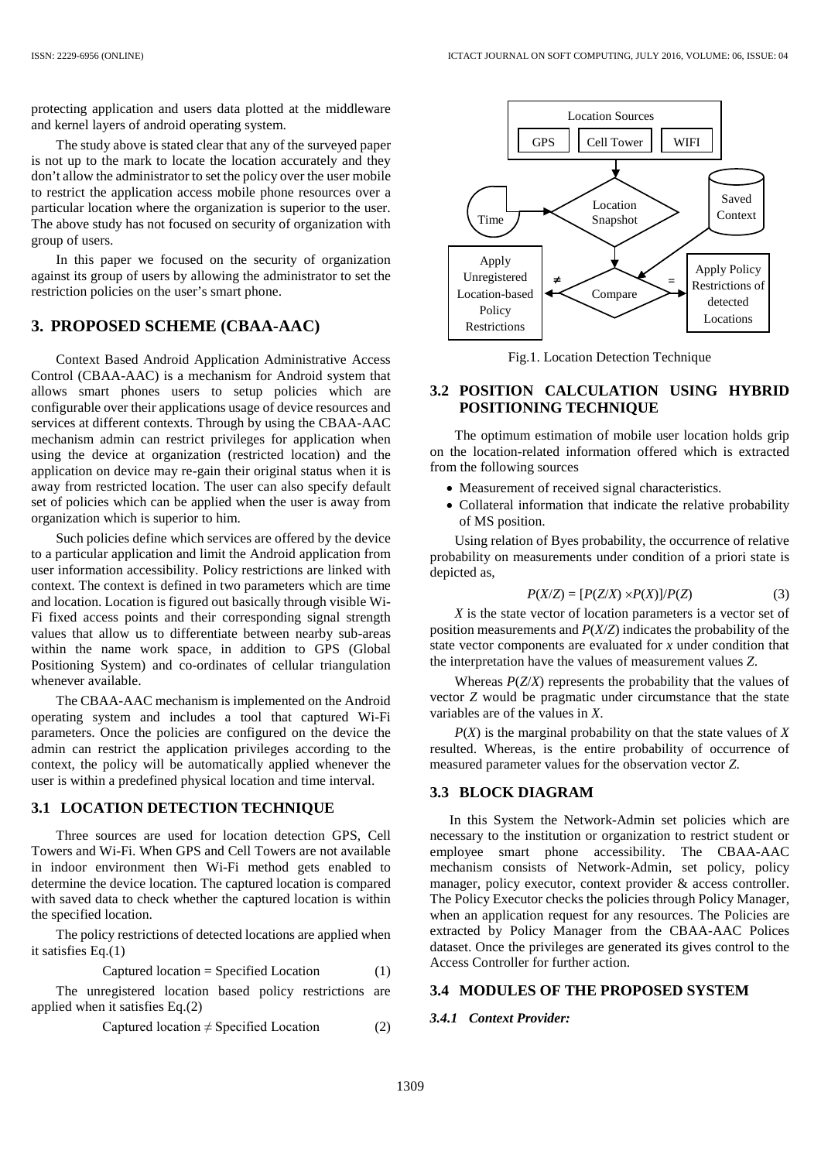protecting application and users data plotted at the middleware and kernel layers of android operating system.

The study above is stated clear that any of the surveyed paper is not up to the mark to locate the location accurately and they don't allow the administrator to set the policy over the user mobile to restrict the application access mobile phone resources over a particular location where the organization is superior to the user. The above study has not focused on security of organization with group of users.

In this paper we focused on the security of organization against its group of users by allowing the administrator to set the restriction policies on the user's smart phone.

# **3. PROPOSED SCHEME (CBAA-AAC)**

Context Based Android Application Administrative Access Control (CBAA-AAC) is a mechanism for Android system that allows smart phones users to setup policies which are configurable over their applications usage of device resources and services at different contexts. Through by using the CBAA-AAC mechanism admin can restrict privileges for application when using the device at organization (restricted location) and the application on device may re-gain their original status when it is away from restricted location. The user can also specify default set of policies which can be applied when the user is away from organization which is superior to him.

Such policies define which services are offered by the device to a particular application and limit the Android application from user information accessibility. Policy restrictions are linked with context. The context is defined in two parameters which are time and location. Location is figured out basically through visible Wi-Fi fixed access points and their corresponding signal strength values that allow us to differentiate between nearby sub-areas within the name work space, in addition to GPS (Global Positioning System) and co-ordinates of cellular triangulation whenever available.

The CBAA-AAC mechanism is implemented on the Android operating system and includes a tool that captured Wi-Fi parameters. Once the policies are configured on the device the admin can restrict the application privileges according to the context, the policy will be automatically applied whenever the user is within a predefined physical location and time interval.

#### **3.1 LOCATION DETECTION TECHNIQUE**

Three sources are used for location detection GPS, Cell Towers and Wi-Fi. When GPS and Cell Towers are not available in indoor environment then Wi-Fi method gets enabled to determine the device location. The captured location is compared with saved data to check whether the captured location is within the specified location.

The policy restrictions of detected locations are applied when it satisfies Eq.(1)

$$
Captured location = Specificd Location
$$
 (1)

The unregistered location based policy restrictions are applied when it satisfies Eq.(2)

$$
Captured location \neq Specified Location
$$
 (2)



Fig.1. Location Detection Technique

### **3.2 POSITION CALCULATION USING HYBRID POSITIONING TECHNIQUE**

The optimum estimation of mobile user location holds grip on the location-related information offered which is extracted from the following sources

- Measurement of received signal characteristics.
- Collateral information that indicate the relative probability of MS position.

Using relation of Byes probability, the occurrence of relative probability on measurements under condition of a priori state is depicted as,

$$
P(X/Z) = [P(Z/X) \times P(X)]/P(Z)
$$
 (3)

*X* is the state vector of location parameters is a vector set of position measurements and *P*(*X*/*Z*) indicates the probability of the state vector components are evaluated for *x* under condition that the interpretation have the values of measurement values *Z*.

Whereas *P*(*Z*/*X*) represents the probability that the values of vector *Z* would be pragmatic under circumstance that the state variables are of the values in *X*.

*P*(*X*) is the marginal probability on that the state values of *X* resulted. Whereas, is the entire probability of occurrence of measured parameter values for the observation vector *Z*.

#### **3.3 BLOCK DIAGRAM**

In this System the Network-Admin set policies which are necessary to the institution or organization to restrict student or employee smart phone accessibility. The CBAA-AAC mechanism consists of Network-Admin, set policy, policy manager, policy executor, context provider & access controller. The Policy Executor checks the policies through Policy Manager, when an application request for any resources. The Policies are extracted by Policy Manager from the CBAA-AAC Polices dataset. Once the privileges are generated its gives control to the Access Controller for further action.

#### **3.4 MODULES OF THE PROPOSED SYSTEM**

#### *3.4.1 Context Provider:*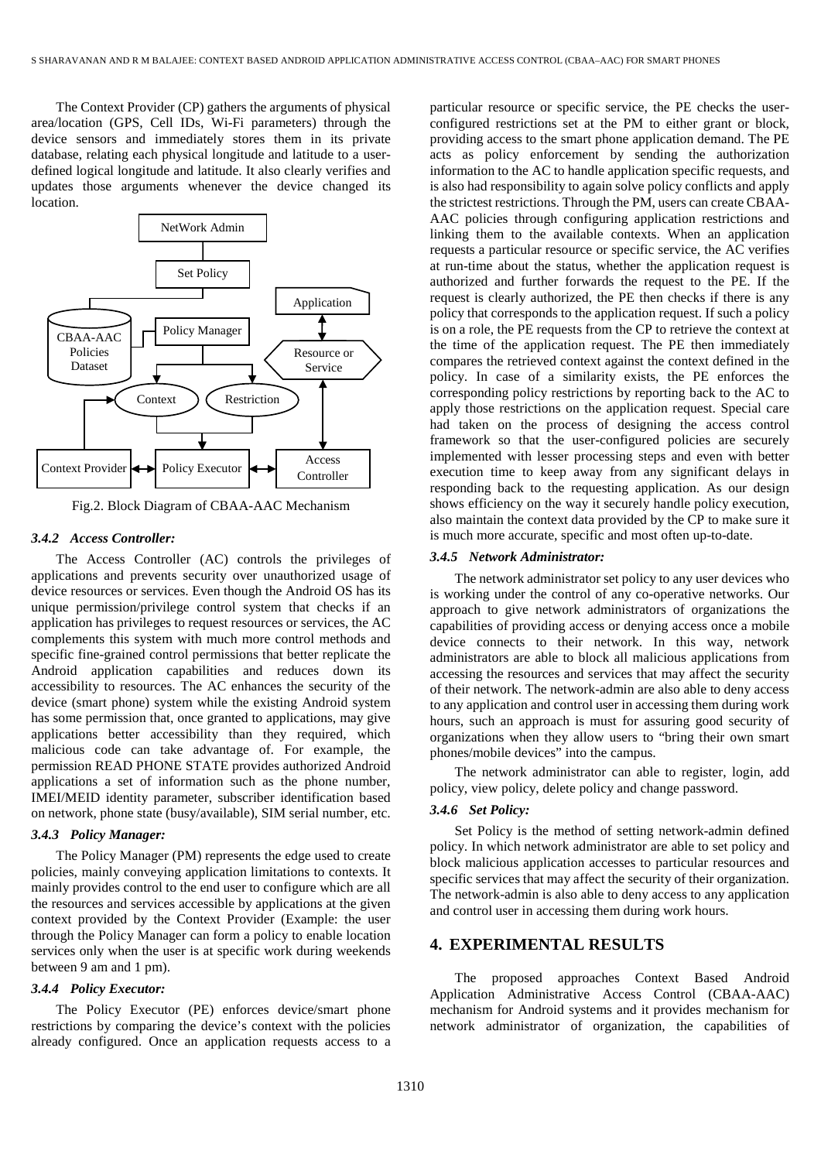The Context Provider (CP) gathers the arguments of physical area/location (GPS, Cell IDs, Wi-Fi parameters) through the device sensors and immediately stores them in its private database, relating each physical longitude and latitude to a userdefined logical longitude and latitude. It also clearly verifies and updates those arguments whenever the device changed its location.



Fig.2. Block Diagram of CBAA-AAC Mechanism

### *3.4.2 Access Controller:*

The Access Controller (AC) controls the privileges of applications and prevents security over unauthorized usage of device resources or services. Even though the Android OS has its unique permission/privilege control system that checks if an application has privileges to request resources or services, the AC complements this system with much more control methods and specific fine-grained control permissions that better replicate the Android application capabilities and reduces down its accessibility to resources. The AC enhances the security of the device (smart phone) system while the existing Android system has some permission that, once granted to applications, may give applications better accessibility than they required, which malicious code can take advantage of. For example, the permission READ PHONE STATE provides authorized Android applications a set of information such as the phone number, IMEI/MEID identity parameter, subscriber identification based on network, phone state (busy/available), SIM serial number, etc.

#### *3.4.3 Policy Manager:*

The Policy Manager (PM) represents the edge used to create policies, mainly conveying application limitations to contexts. It mainly provides control to the end user to configure which are all the resources and services accessible by applications at the given context provided by the Context Provider (Example: the user through the Policy Manager can form a policy to enable location services only when the user is at specific work during weekends between 9 am and 1 pm).

#### *3.4.4 Policy Executor:*

The Policy Executor (PE) enforces device/smart phone restrictions by comparing the device's context with the policies already configured. Once an application requests access to a particular resource or specific service, the PE checks the userconfigured restrictions set at the PM to either grant or block, providing access to the smart phone application demand. The PE acts as policy enforcement by sending the authorization information to the AC to handle application specific requests, and is also had responsibility to again solve policy conflicts and apply the strictest restrictions. Through the PM, users can create CBAA-AAC policies through configuring application restrictions and linking them to the available contexts. When an application requests a particular resource or specific service, the AC verifies at run-time about the status, whether the application request is authorized and further forwards the request to the PE. If the request is clearly authorized, the PE then checks if there is any policy that corresponds to the application request. If such a policy is on a role, the PE requests from the CP to retrieve the context at the time of the application request. The PE then immediately compares the retrieved context against the context defined in the policy. In case of a similarity exists, the PE enforces the corresponding policy restrictions by reporting back to the AC to apply those restrictions on the application request. Special care had taken on the process of designing the access control framework so that the user-configured policies are securely implemented with lesser processing steps and even with better execution time to keep away from any significant delays in responding back to the requesting application. As our design shows efficiency on the way it securely handle policy execution, also maintain the context data provided by the CP to make sure it is much more accurate, specific and most often up-to-date.

#### *3.4.5 Network Administrator:*

The network administrator set policy to any user devices who is working under the control of any co-operative networks. Our approach to give network administrators of organizations the capabilities of providing access or denying access once a mobile device connects to their network. In this way, network administrators are able to block all malicious applications from accessing the resources and services that may affect the security of their network. The network-admin are also able to deny access to any application and control user in accessing them during work hours, such an approach is must for assuring good security of organizations when they allow users to "bring their own smart phones/mobile devices" into the campus.

The network administrator can able to register, login, add policy, view policy, delete policy and change password.

#### *3.4.6 Set Policy:*

Set Policy is the method of setting network-admin defined policy. In which network administrator are able to set policy and block malicious application accesses to particular resources and specific services that may affect the security of their organization. The network-admin is also able to deny access to any application and control user in accessing them during work hours.

### **4. EXPERIMENTAL RESULTS**

The proposed approaches Context Based Android Application Administrative Access Control (CBAA-AAC) mechanism for Android systems and it provides mechanism for network administrator of organization, the capabilities of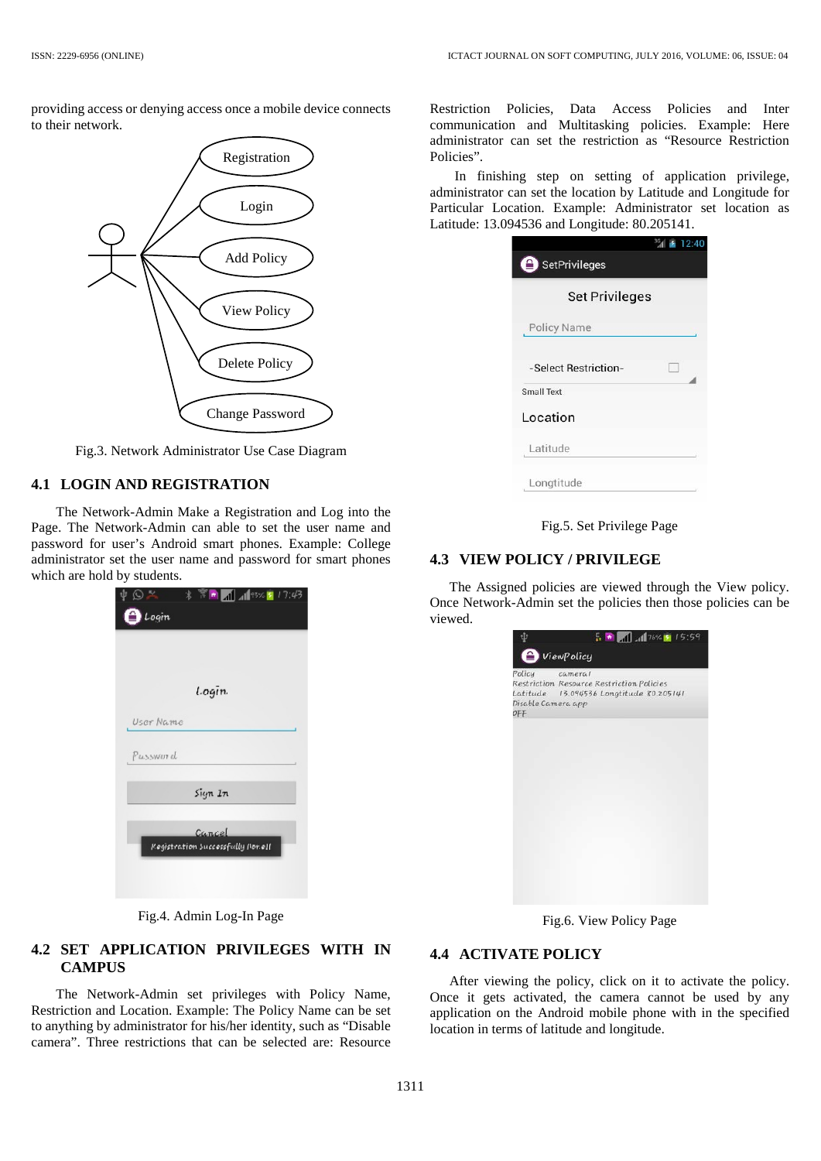providing access or denying access once a mobile device connects to their network.



Fig.3. Network Administrator Use Case Diagram

### **4.1 LOGIN AND REGISTRATION**

The Network-Admin Make a Registration and Log into the Page. The Network-Admin can able to set the user name and password for user's Android smart phones. Example: College administrator set the user name and password for smart phones which are hold by students.



Fig.4. Admin Log-In Page

# **4.2 SET APPLICATION PRIVILEGES WITH IN CAMPUS**

The Network-Admin set privileges with Policy Name, Restriction and Location. Example: The Policy Name can be set to anything by administrator for his/her identity, such as "Disable camera". Three restrictions that can be selected are: Resource

Restriction Policies, Data Access Policies and Inter communication and Multitasking policies. Example: Here administrator can set the restriction as "Resource Restriction Policies".

In finishing step on setting of application privilege, administrator can set the location by Latitude and Longitude for Particular Location. Example: Administrator set location as Latitude: 13.094536 and Longitude: 80.205141.

|                       | 36<br>₹ 12.40 |
|-----------------------|---------------|
| SetPrivileges         |               |
| <b>Set Privileges</b> |               |
| Policy Name           |               |
| -Select Restriction-  | W             |
| <b>Small Text</b>     |               |
| Location              |               |
| Latitude              |               |
| Longtitude            |               |
|                       |               |

Fig.5. Set Privilege Page

#### **4.3 VIEW POLICY / PRIVILEGE**

The Assigned policies are viewed through the View policy. Once Network-Admin set the policies then those policies can be viewed.

| ViewPolicy                          |                                                                                                 |  |
|-------------------------------------|-------------------------------------------------------------------------------------------------|--|
| Policy<br>Disable Camera app<br>OFF | cameral<br>Restriction Resource Restriction Policies<br>Latitude 13.094536 Longtitude 80.205141 |  |
|                                     |                                                                                                 |  |
|                                     |                                                                                                 |  |
|                                     |                                                                                                 |  |
|                                     |                                                                                                 |  |
|                                     |                                                                                                 |  |

Fig.6. View Policy Page

### **4.4 ACTIVATE POLICY**

After viewing the policy, click on it to activate the policy. Once it gets activated, the camera cannot be used by any application on the Android mobile phone with in the specified location in terms of latitude and longitude.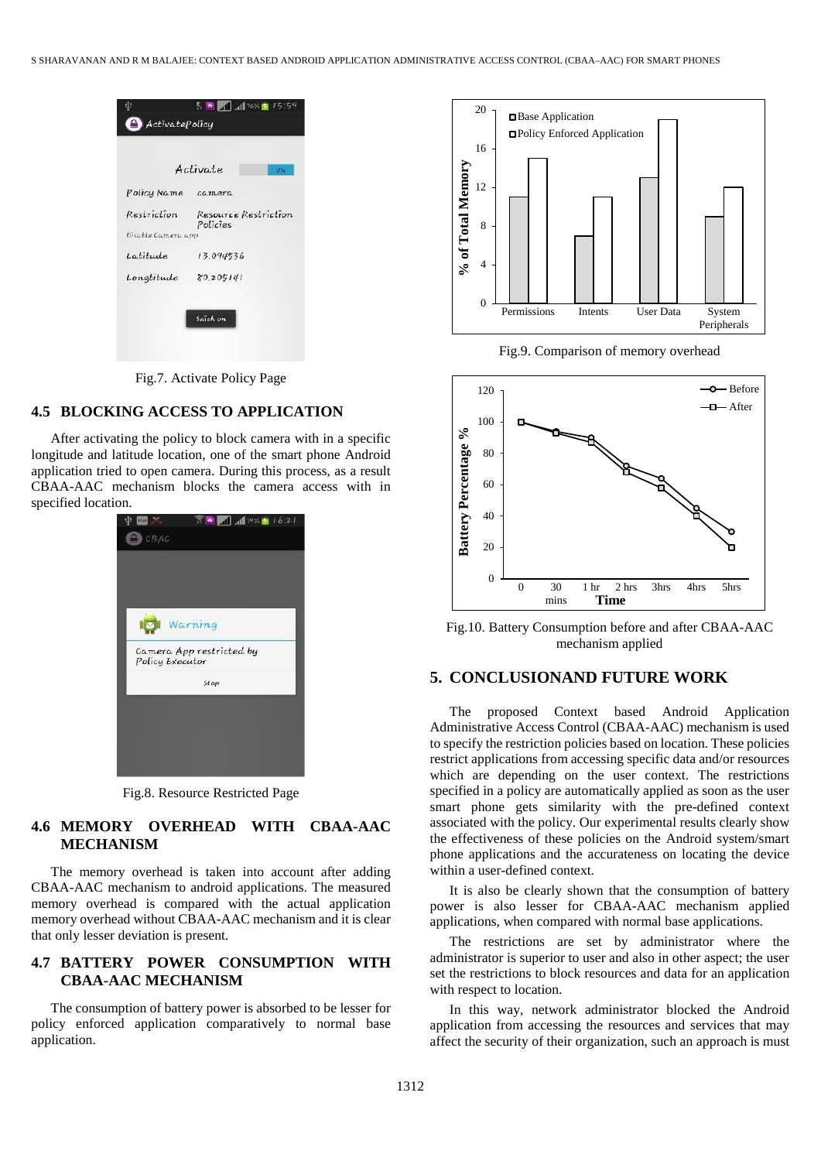

Fig.7. Activate Policy Page

# **4.5 BLOCKING ACCESS TO APPLICATION**

After activating the policy to block camera with in a specific longitude and latitude location, one of the smart phone Android application tried to open camera. During this process, as a result CBAA-AAC mechanism blocks the camera access with in specified location.



Fig.8. Resource Restricted Page

### **4.6 MEMORY OVERHEAD WITH CBAA-AAC MECHANISM**

The memory overhead is taken into account after adding CBAA-AAC mechanism to android applications. The measured memory overhead is compared with the actual application memory overhead without CBAA-AAC mechanism and it is clear that only lesser deviation is present.

### **4.7 BATTERY POWER CONSUMPTION WITH CBAA-AAC MECHANISM**

The consumption of battery power is absorbed to be lesser for policy enforced application comparatively to normal base application.



Fig.9. Comparison of memory overhead



Fig.10. Battery Consumption before and after CBAA-AAC mechanism applied

# **5. CONCLUSIONAND FUTURE WORK**

The proposed Context based Android Application Administrative Access Control (CBAA-AAC) mechanism is used to specify the restriction policies based on location. These policies restrict applications from accessing specific data and/or resources which are depending on the user context. The restrictions specified in a policy are automatically applied as soon as the user smart phone gets similarity with the pre-defined context associated with the policy. Our experimental results clearly show the effectiveness of these policies on the Android system/smart phone applications and the accurateness on locating the device within a user-defined context.

It is also be clearly shown that the consumption of battery power is also lesser for CBAA-AAC mechanism applied applications, when compared with normal base applications.

The restrictions are set by administrator where the administrator is superior to user and also in other aspect; the user set the restrictions to block resources and data for an application with respect to location.

In this way, network administrator blocked the Android application from accessing the resources and services that may affect the security of their organization, such an approach is must